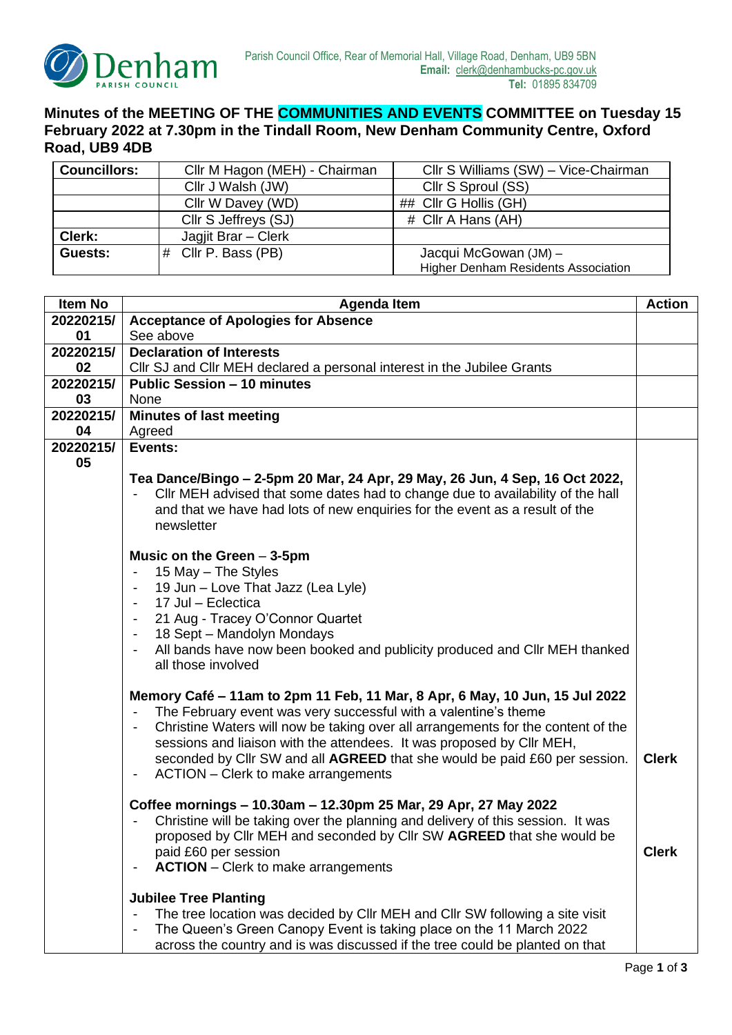

## **Minutes of the MEETING OF THE COMMUNITIES AND EVENTS COMMITTEE on Tuesday 15 February 2022 at 7.30pm in the Tindall Room, New Denham Community Centre, Oxford Road, UB9 4DB**

| <b>Councillors:</b> | Cllr M Hagon (MEH) - Chairman | Cllr S Williams (SW) - Vice-Chairman       |
|---------------------|-------------------------------|--------------------------------------------|
|                     | Cllr J Walsh (JW)             | Cllr S Sproul (SS)                         |
|                     | Cllr W Davey (WD)             | ## Cllr G Hollis (GH)                      |
|                     | Cllr S Jeffreys (SJ)          | # Cllr A Hans (AH)                         |
| Clerk:              | Jagjit Brar - Clerk           |                                            |
| Guests:             | $#$ Cllr P. Bass (PB)         | Jacqui McGowan (JM) -                      |
|                     |                               | <b>Higher Denham Residents Association</b> |

| Item No   | <b>Agenda Item</b>                                                                                                                                                                                                                                                                                                                                                                                                                                                                            | <b>Action</b> |
|-----------|-----------------------------------------------------------------------------------------------------------------------------------------------------------------------------------------------------------------------------------------------------------------------------------------------------------------------------------------------------------------------------------------------------------------------------------------------------------------------------------------------|---------------|
| 20220215/ | <b>Acceptance of Apologies for Absence</b>                                                                                                                                                                                                                                                                                                                                                                                                                                                    |               |
| 01        | See above                                                                                                                                                                                                                                                                                                                                                                                                                                                                                     |               |
| 20220215/ | <b>Declaration of Interests</b>                                                                                                                                                                                                                                                                                                                                                                                                                                                               |               |
| 02        | CIIr SJ and CIIr MEH declared a personal interest in the Jubilee Grants                                                                                                                                                                                                                                                                                                                                                                                                                       |               |
| 20220215/ | <b>Public Session - 10 minutes</b>                                                                                                                                                                                                                                                                                                                                                                                                                                                            |               |
| 03        | None                                                                                                                                                                                                                                                                                                                                                                                                                                                                                          |               |
| 20220215/ | <b>Minutes of last meeting</b>                                                                                                                                                                                                                                                                                                                                                                                                                                                                |               |
| 04        | Agreed                                                                                                                                                                                                                                                                                                                                                                                                                                                                                        |               |
| 20220215/ | Events:                                                                                                                                                                                                                                                                                                                                                                                                                                                                                       |               |
| 05        |                                                                                                                                                                                                                                                                                                                                                                                                                                                                                               |               |
|           | Tea Dance/Bingo – 2-5pm 20 Mar, 24 Apr, 29 May, 26 Jun, 4 Sep, 16 Oct 2022,<br>CIIr MEH advised that some dates had to change due to availability of the hall<br>$\overline{\phantom{a}}$<br>and that we have had lots of new enquiries for the event as a result of the<br>newsletter                                                                                                                                                                                                        |               |
|           | Music on the Green $-3-5$ pm<br>15 May - The Styles<br>$\blacksquare$<br>19 Jun - Love That Jazz (Lea Lyle)<br>$\overline{\phantom{a}}$<br>17 Jul - Eclectica<br>$\overline{\phantom{a}}$<br>21 Aug - Tracey O'Connor Quartet<br>$\overline{\phantom{a}}$<br>18 Sept - Mandolyn Mondays<br>$\overline{\phantom{a}}$<br>All bands have now been booked and publicity produced and Cllr MEH thanked<br>$\overline{\phantom{a}}$<br>all those involved                                           |               |
|           | Memory Café - 11am to 2pm 11 Feb, 11 Mar, 8 Apr, 6 May, 10 Jun, 15 Jul 2022<br>The February event was very successful with a valentine's theme<br>$\overline{\phantom{a}}$<br>Christine Waters will now be taking over all arrangements for the content of the<br>-<br>sessions and liaison with the attendees. It was proposed by Cllr MEH,<br>seconded by Cllr SW and all AGREED that she would be paid £60 per session.<br>ACTION – Clerk to make arrangements<br>$\overline{\phantom{a}}$ | <b>Clerk</b>  |
|           | Coffee mornings - 10.30am - 12.30pm 25 Mar, 29 Apr, 27 May 2022<br>Christine will be taking over the planning and delivery of this session. It was<br>proposed by Cllr MEH and seconded by Cllr SW AGREED that she would be<br>paid £60 per session<br><b>ACTION</b> – Clerk to make arrangements                                                                                                                                                                                             | <b>Clerk</b>  |
|           | <b>Jubilee Tree Planting</b><br>The tree location was decided by Cllr MEH and Cllr SW following a site visit<br>The Queen's Green Canopy Event is taking place on the 11 March 2022<br>-<br>across the country and is was discussed if the tree could be planted on that                                                                                                                                                                                                                      |               |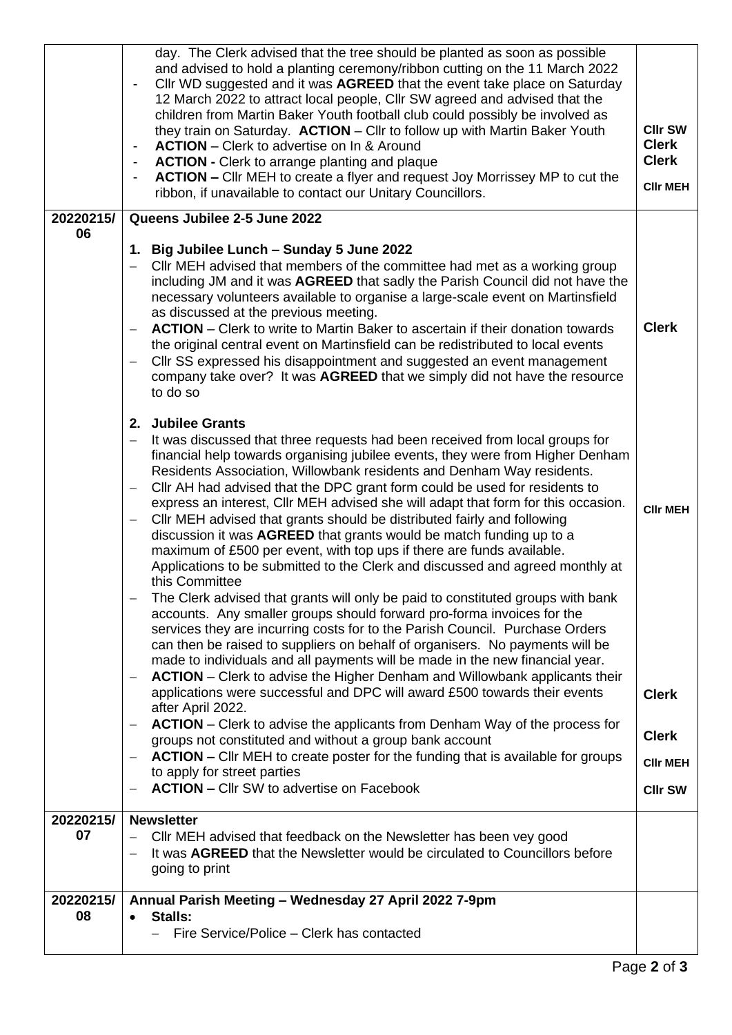|                 | day. The Clerk advised that the tree should be planted as soon as possible<br>and advised to hold a planting ceremony/ribbon cutting on the 11 March 2022<br>Cllr WD suggested and it was AGREED that the event take place on Saturday<br>$\overline{\phantom{a}}$<br>12 March 2022 to attract local people, Cllr SW agreed and advised that the<br>children from Martin Baker Youth football club could possibly be involved as<br>they train on Saturday. ACTION - Cllr to follow up with Martin Baker Youth<br><b>ACTION</b> – Clerk to advertise on In & Around<br><b>ACTION - Clerk to arrange planting and plaque</b><br><b>ACTION – CIIr MEH to create a flyer and request Joy Morrissey MP to cut the</b><br>ribbon, if unavailable to contact our Unitary Councillors.                                                                                                                                                                                                                                                                                                                                                                                                                                                                                           | <b>CIIr SW</b><br><b>Clerk</b><br><b>Clerk</b><br><b>CIIr MEH</b> |
|-----------------|---------------------------------------------------------------------------------------------------------------------------------------------------------------------------------------------------------------------------------------------------------------------------------------------------------------------------------------------------------------------------------------------------------------------------------------------------------------------------------------------------------------------------------------------------------------------------------------------------------------------------------------------------------------------------------------------------------------------------------------------------------------------------------------------------------------------------------------------------------------------------------------------------------------------------------------------------------------------------------------------------------------------------------------------------------------------------------------------------------------------------------------------------------------------------------------------------------------------------------------------------------------------------|-------------------------------------------------------------------|
| 20220215/<br>06 | Queens Jubilee 2-5 June 2022                                                                                                                                                                                                                                                                                                                                                                                                                                                                                                                                                                                                                                                                                                                                                                                                                                                                                                                                                                                                                                                                                                                                                                                                                                              |                                                                   |
|                 | 1. Big Jubilee Lunch - Sunday 5 June 2022<br>CIIr MEH advised that members of the committee had met as a working group<br>including JM and it was AGREED that sadly the Parish Council did not have the<br>necessary volunteers available to organise a large-scale event on Martinsfield<br>as discussed at the previous meeting.<br><b>ACTION</b> – Clerk to write to Martin Baker to ascertain if their donation towards<br>the original central event on Martinsfield can be redistributed to local events<br>Cllr SS expressed his disappointment and suggested an event management<br>company take over? It was AGREED that we simply did not have the resource<br>to do so                                                                                                                                                                                                                                                                                                                                                                                                                                                                                                                                                                                         | <b>Clerk</b>                                                      |
|                 | 2. Jubilee Grants<br>It was discussed that three requests had been received from local groups for<br>financial help towards organising jubilee events, they were from Higher Denham<br>Residents Association, Willowbank residents and Denham Way residents.<br>CIIr AH had advised that the DPC grant form could be used for residents to<br>—<br>express an interest, Cllr MEH advised she will adapt that form for this occasion.<br>Cllr MEH advised that grants should be distributed fairly and following<br>—<br>discussion it was AGREED that grants would be match funding up to a<br>maximum of £500 per event, with top ups if there are funds available.<br>Applications to be submitted to the Clerk and discussed and agreed monthly at<br>this Committee<br>The Clerk advised that grants will only be paid to constituted groups with bank<br>accounts. Any smaller groups should forward pro-forma invoices for the<br>services they are incurring costs for to the Parish Council. Purchase Orders<br>can then be raised to suppliers on behalf of organisers. No payments will be<br>made to individuals and all payments will be made in the new financial year.<br><b>ACTION</b> – Clerk to advise the Higher Denham and Willowbank applicants their | <b>CIIr MEH</b>                                                   |
|                 | applications were successful and DPC will award £500 towards their events<br>after April 2022.<br><b>ACTION</b> – Clerk to advise the applicants from Denham Way of the process for<br>—                                                                                                                                                                                                                                                                                                                                                                                                                                                                                                                                                                                                                                                                                                                                                                                                                                                                                                                                                                                                                                                                                  | <b>Clerk</b>                                                      |
|                 | groups not constituted and without a group bank account<br><b>ACTION – CIIr MEH to create poster for the funding that is available for groups</b><br>to apply for street parties                                                                                                                                                                                                                                                                                                                                                                                                                                                                                                                                                                                                                                                                                                                                                                                                                                                                                                                                                                                                                                                                                          | <b>Clerk</b><br><b>CIIr MEH</b>                                   |
|                 | <b>ACTION - CIIr SW to advertise on Facebook</b>                                                                                                                                                                                                                                                                                                                                                                                                                                                                                                                                                                                                                                                                                                                                                                                                                                                                                                                                                                                                                                                                                                                                                                                                                          | <b>CIIr SW</b>                                                    |
| 20220215/<br>07 | <b>Newsletter</b><br>CIIr MEH advised that feedback on the Newsletter has been vey good<br>It was AGREED that the Newsletter would be circulated to Councillors before<br>going to print                                                                                                                                                                                                                                                                                                                                                                                                                                                                                                                                                                                                                                                                                                                                                                                                                                                                                                                                                                                                                                                                                  |                                                                   |
| 20220215/<br>08 | Annual Parish Meeting - Wednesday 27 April 2022 7-9pm<br>Stalls:<br>Fire Service/Police – Clerk has contacted                                                                                                                                                                                                                                                                                                                                                                                                                                                                                                                                                                                                                                                                                                                                                                                                                                                                                                                                                                                                                                                                                                                                                             |                                                                   |